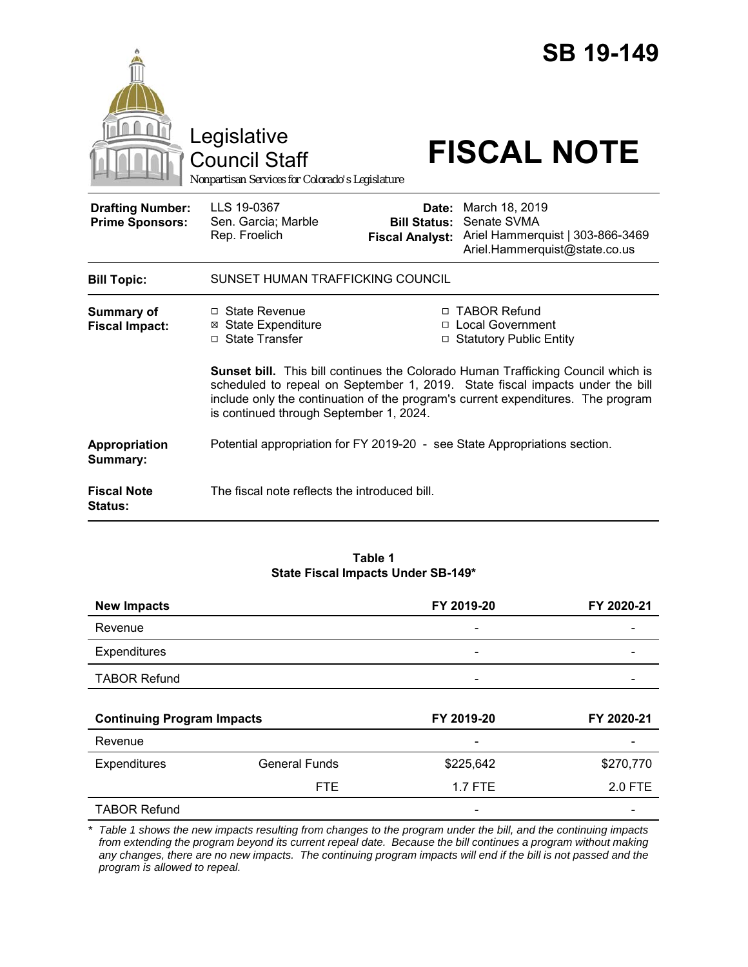|                                                   | Legislative<br><b>Council Staff</b><br>Nonpartisan Services for Colorado's Legislature                                                                                                                                                                                                                  |                                                        | <b>SB 19-149</b><br><b>FISCAL NOTE</b>                                                             |  |
|---------------------------------------------------|---------------------------------------------------------------------------------------------------------------------------------------------------------------------------------------------------------------------------------------------------------------------------------------------------------|--------------------------------------------------------|----------------------------------------------------------------------------------------------------|--|
| <b>Drafting Number:</b><br><b>Prime Sponsors:</b> | LLS 19-0367<br>Sen. Garcia; Marble<br>Rep. Froelich                                                                                                                                                                                                                                                     | Date:<br><b>Bill Status:</b><br><b>Fiscal Analyst:</b> | March 18, 2019<br>Senate SVMA<br>Ariel Hammerquist   303-866-3469<br>Ariel.Hammerquist@state.co.us |  |
| <b>Bill Topic:</b>                                | SUNSET HUMAN TRAFFICKING COUNCIL                                                                                                                                                                                                                                                                        |                                                        |                                                                                                    |  |
| Summary of<br><b>Fiscal Impact:</b>               | □ State Revenue<br><b>⊠ State Expenditure</b><br>□ State Transfer                                                                                                                                                                                                                                       |                                                        | □ TABOR Refund<br>□ Local Government<br>□ Statutory Public Entity                                  |  |
|                                                   | <b>Sunset bill.</b> This bill continues the Colorado Human Trafficking Council which is<br>scheduled to repeal on September 1, 2019. State fiscal impacts under the bill<br>include only the continuation of the program's current expenditures. The program<br>is continued through September 1, 2024. |                                                        |                                                                                                    |  |
| Appropriation<br>Summary:                         |                                                                                                                                                                                                                                                                                                         |                                                        | Potential appropriation for FY 2019-20 - see State Appropriations section.                         |  |
| <b>Fiscal Note</b><br><b>Status:</b>              | The fiscal note reflects the introduced bill.                                                                                                                                                                                                                                                           |                                                        |                                                                                                    |  |

#### **Table 1 State Fiscal Impacts Under SB-149\***

| <b>New Impacts</b>                |                      | FY 2019-20                   | FY 2020-21 |
|-----------------------------------|----------------------|------------------------------|------------|
| Revenue                           |                      |                              |            |
| Expenditures                      |                      | $\qquad \qquad \blacksquare$ |            |
| <b>TABOR Refund</b>               |                      | $\overline{\phantom{0}}$     |            |
|                                   |                      |                              |            |
| <b>Continuing Program Impacts</b> |                      | FY 2019-20<br>FY 2020-21     |            |
| Revenue                           |                      |                              |            |
| Expenditures                      | <b>General Funds</b> | \$225,642                    | \$270,770  |
|                                   | <b>FTE</b>           | 1.7 FTE                      | 2.0 FTE    |
|                                   |                      |                              |            |

*\* Table 1 shows the new impacts resulting from changes to the program under the bill, and the continuing impacts from extending the program beyond its current repeal date. Because the bill continues a program without making any changes, there are no new impacts. The continuing program impacts will end if the bill is not passed and the program is allowed to repeal.*